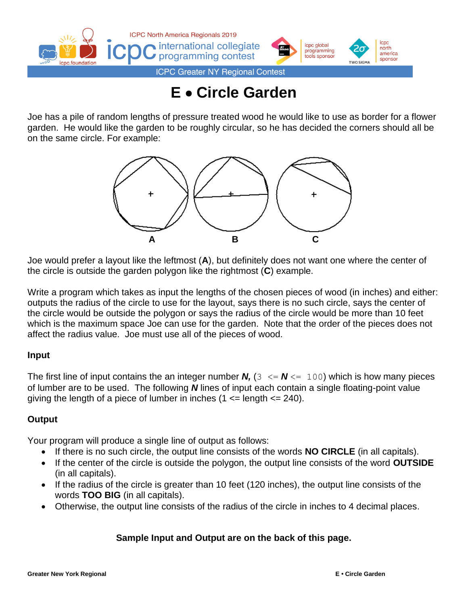

# **E** • **Circle Garden**

Joe has a pile of random lengths of pressure treated wood he would like to use as border for a flower garden. He would like the garden to be roughly circular, so he has decided the corners should all be on the same circle. For example:



Joe would prefer a layout like the leftmost (**A**), but definitely does not want one where the center of the circle is outside the garden polygon like the rightmost (**C**) example.

Write a program which takes as input the lengths of the chosen pieces of wood (in inches) and either: outputs the radius of the circle to use for the layout, says there is no such circle, says the center of the circle would be outside the polygon or says the radius of the circle would be more than 10 feet which is the maximum space Joe can use for the garden. Note that the order of the pieces does not affect the radius value. Joe must use all of the pieces of wood.

#### **Input**

The first line of input contains the an integer number **N**,  $(3 \leq N \leq 100)$  which is how many pieces of lumber are to be used. The following *N* lines of input each contain a single floating-point value giving the length of a piece of lumber in inches  $(1 \leq$  length  $\leq$  240).

#### **Output**

Your program will produce a single line of output as follows:

- If there is no such circle, the output line consists of the words **NO CIRCLE** (in all capitals).
- If the center of the circle is outside the polygon, the output line consists of the word **OUTSIDE** (in all capitals).
- If the radius of the circle is greater than 10 feet (120 inches), the output line consists of the words **TOO BIG** (in all capitals).
- Otherwise, the output line consists of the radius of the circle in inches to 4 decimal places.

#### **Sample Input and Output are on the back of this page.**